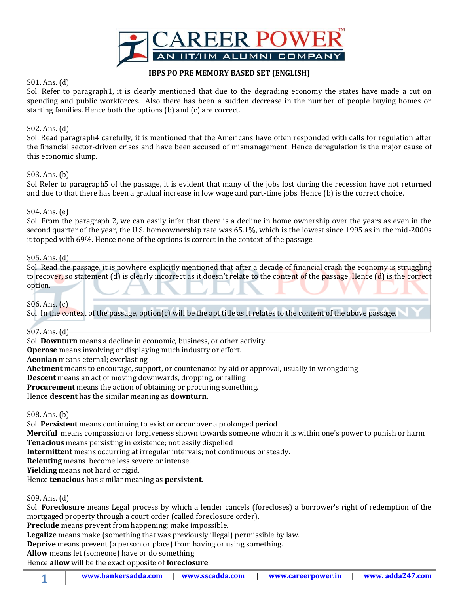

### **IBPS PO PRE MEMORY BASED SET (ENGLISH)**

## S01. Ans. (d)

Sol. Refer to paragraph1, it is clearly mentioned that due to the degrading economy the states have made a cut on spending and public workforces. Also there has been a sudden decrease in the number of people buying homes or starting families. Hence both the options (b) and (c) are correct.

## S02. Ans. (d)

Sol. Read paragraph4 carefully, it is mentioned that the Americans have often responded with calls for regulation after the financial sector-driven crises and have been accused of mismanagement. Hence deregulation is the major cause of this economic slump.

### S03. Ans. (b)

Sol Refer to paragraph5 of the passage, it is evident that many of the jobs lost during the recession have not returned and due to that there has been a gradual increase in low wage and part-time jobs. Hence (b) is the correct choice.

### S04. Ans. (e)

Sol. From the paragraph 2, we can easily infer that there is a decline in home ownership over the years as even in the second quarter of the year, the U.S. homeownership rate was 65.1%, which is the lowest since 1995 as in the mid-2000s it topped with 69%. Hence none of the options is correct in the context of the passage.

### S05. Ans. (d)

Sol. Read the passage, it is nowhere explicitly mentioned that after a decade of financial crash the economy is struggling to recover, so statement (d) is clearly incorrect as it doesn't relate to the content of the passage. Hence (d) is the correct option.

S06. Ans. (c)

Sol. In the context of the passage, option(c) will be the apt title as it relates to the content of the above passage.

# S07. Ans. (d)

Sol. **Downturn** means a decline in economic, business, or other activity.

**Operose** means involving or displaying much industry or effort.

**Aeonian** means eternal; everlasting

**Abetment** means to encourage, support, or countenance by aid or approval, usually in wrongdoing

**Descent** means an act of moving downwards, dropping, or falling

**Procurement** means the action of obtaining or procuring something.

Hence **descent** has the similar meaning as **downturn**.

S08. Ans. (b)

Sol. **Persistent** means continuing to exist or occur over a prolonged period

**Merciful** means compassion or forgiveness shown towards someone whom it is within one's power to punish or harm **Tenacious** means persisting in existence; not easily dispelled

**Intermittent** means occurring at irregular intervals; not continuous or steady.

**Relenting** means become less severe or intense.

**Yielding** means not hard or rigid.

Hence **tenacious** has similar meaning as **persistent**.

S09. Ans. (d)

**1**

Sol. **Foreclosure** means Legal process by which a lender cancels (forecloses) a borrower's right of redemption of the mortgaged property through a court order (called foreclosure order).

**Preclude** means prevent from happening; make impossible.

**Legalize** means make (something that was previously illegal) permissible by law.

**Deprive** means prevent (a person or place) from having or using something.

**Allow** means let (someone) have or do something

Hence **allow** will be the exact opposite of **foreclosure**.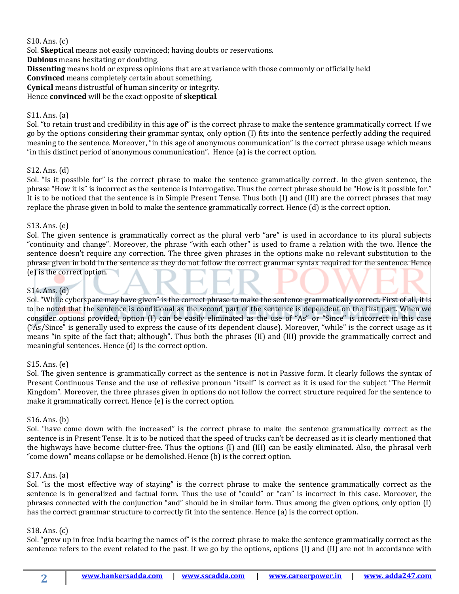## S10. Ans. (c)

Sol. **Skeptical** means not easily convinced; having doubts or reservations.

**Dubious** means hesitating or doubting.

**Dissenting** means hold or express opinions that are at variance with those commonly or officially held

**Convinced** means completely certain about something.

**Cynical** means distrustful of human sincerity or integrity.

Hence **convinced** will be the exact opposite of **skeptical**.

### S11. Ans. (a)

Sol. "to retain trust and credibility in this age of" is the correct phrase to make the sentence grammatically correct. If we go by the options considering their grammar syntax, only option (I) fits into the sentence perfectly adding the required meaning to the sentence. Moreover, "in this age of anonymous communication" is the correct phrase usage which means "in this distinct period of anonymous communication". Hence (a) is the correct option.

### S12. Ans. (d)

Sol. "Is it possible for" is the correct phrase to make the sentence grammatically correct. In the given sentence, the phrase "How it is" is incorrect as the sentence is Interrogative. Thus the correct phrase should be "How is it possible for." It is to be noticed that the sentence is in Simple Present Tense. Thus both (I) and (III) are the correct phrases that may replace the phrase given in bold to make the sentence grammatically correct. Hence (d) is the correct option.

### S13. Ans. (e)

Sol. The given sentence is grammatically correct as the plural verb "are" is used in accordance to its plural subjects "continuity and change". Moreover, the phrase "with each other" is used to frame a relation with the two. Hence the sentence doesn't require any correction. The three given phrases in the options make no relevant substitution to the phrase given in bold in the sentence as they do not follow the correct grammar syntax required for the sentence. Hence (e) is the correct option.

# S14. Ans. (d)

Sol. "While cyberspace may have given" is the correct phrase to make the sentence grammatically correct. First of all, it is to be noted that the sentence is conditional as the second part of the sentence is dependent on the first part. When we consider options provided, option (I) can be easily eliminated as the use of "As" or "Since" is incorrect in this case ("As/Since" is generally used to express the cause of its dependent clause). Moreover, "while" is the correct usage as it means "in spite of the fact that; although". Thus both the phrases (II) and (III) provide the grammatically correct and meaningful sentences. Hence (d) is the correct option.

### S15. Ans. (e)

Sol. The given sentence is grammatically correct as the sentence is not in Passive form. It clearly follows the syntax of Present Continuous Tense and the use of reflexive pronoun "itself" is correct as it is used for the subject "The Hermit Kingdom". Moreover, the three phrases given in options do not follow the correct structure required for the sentence to make it grammatically correct. Hence (e) is the correct option.

### S16. Ans. (b)

Sol. "have come down with the increased" is the correct phrase to make the sentence grammatically correct as the sentence is in Present Tense. It is to be noticed that the speed of trucks can't be decreased as it is clearly mentioned that the highways have become clutter-free. Thus the options (I) and (III) can be easily eliminated. Also, the phrasal verb "come down" means collapse or be demolished. Hence (b) is the correct option.

### S17. Ans. (a)

Sol. "is the most effective way of staying" is the correct phrase to make the sentence grammatically correct as the sentence is in generalized and factual form. Thus the use of "could" or "can" is incorrect in this case. Moreover, the phrases connected with the conjunction "and" should be in similar form. Thus among the given options, only option (I) has the correct grammar structure to correctly fit into the sentence. Hence (a) is the correct option.

### S18. Ans. (c)

Sol. "grew up in free India bearing the names of" is the correct phrase to make the sentence grammatically correct as the sentence refers to the event related to the past. If we go by the options, options (I) and (II) are not in accordance with